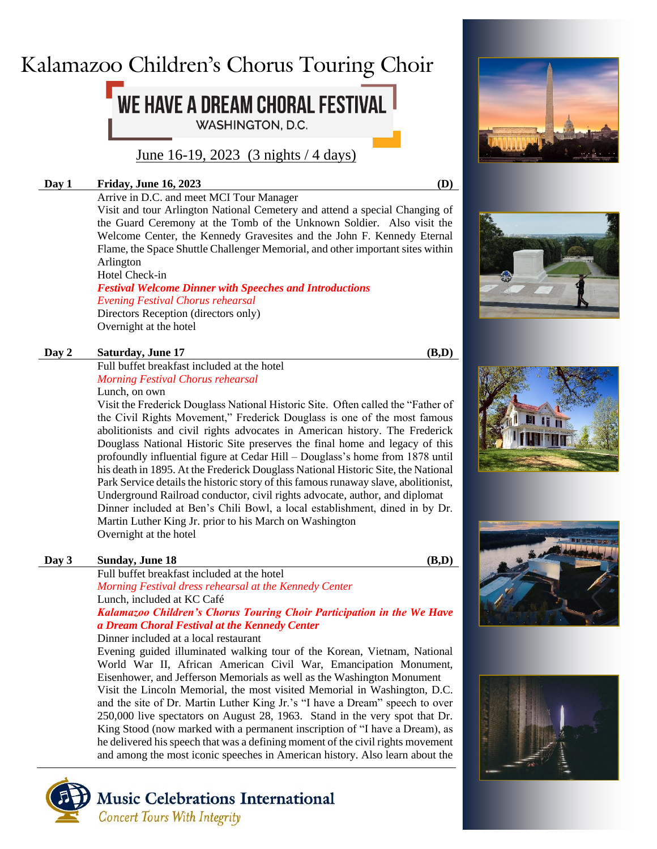# Kalamazoo Children's Chorus Touring Choir

# WE HAVE A DREAM CHORAL FESTIVAL **WASHINGTON, D.C.**

June 16-19, 2023 (3 nights / 4 days)

## **Day 1 Friday, June 16, 2023 (D)**

Arrive in D.C. and meet MCI Tour Manager

Visit and tour Arlington National Cemetery and attend a special Changing of the Guard Ceremony at the Tomb of the Unknown Soldier. Also visit the Welcome Center, the Kennedy Gravesites and the John F. Kennedy Eternal Flame, the Space Shuttle Challenger Memorial, and other important sites within Arlington

Hotel Check-in

*Festival Welcome Dinner with Speeches and Introductions Evening Festival Chorus rehearsal* Directors Reception (directors only) Overnight at the hotel

### **Day 2 Saturday, June 17 (B,D)**

Full buffet breakfast included at the hotel *Morning Festival Chorus rehearsal*

Lunch, on own

Visit the Frederick Douglass National Historic Site. Often called the "Father of the Civil Rights Movement," Frederick Douglass is one of the most famous abolitionists and civil rights advocates in American history. The Frederick Douglass National Historic Site preserves the final home and legacy of this profoundly influential figure at Cedar Hill – Douglass's home from 1878 until his death in 1895. At the Frederick Douglass National Historic Site, the National Park Service details the historic story of this famous runaway slave, abolitionist, Underground Railroad conductor, civil rights advocate, author, and diplomat Dinner included at Ben's Chili Bowl, a local establishment, dined in by Dr. Martin Luther King Jr. prior to his March on Washington Overnight at the hotel

#### **Day 3 Sunday, June 18 (B,D)**

Full buffet breakfast included at the hotel

*Morning Festival dress rehearsal at the Kennedy Center* Lunch, included at KC Café

*Kalamazoo Children's Chorus Touring Choir Participation in the We Have a Dream Choral Festival at the Kennedy Center*

Dinner included at a local restaurant

Evening guided illuminated walking tour of the Korean, Vietnam, National World War II, African American Civil War, Emancipation Monument, Eisenhower, and Jefferson Memorials as well as the Washington Monument Visit the Lincoln Memorial, the most visited Memorial in Washington, D.C. and the site of Dr. Martin Luther King Jr.'s "I have a Dream" speech to over 250,000 live spectators on August 28, 1963. Stand in the very spot that Dr. King Stood (now marked with a permanent inscription of "I have a Dream), as he delivered his speech that was a defining moment of the civil rights movement and among the most iconic speeches in American history. Also learn about the